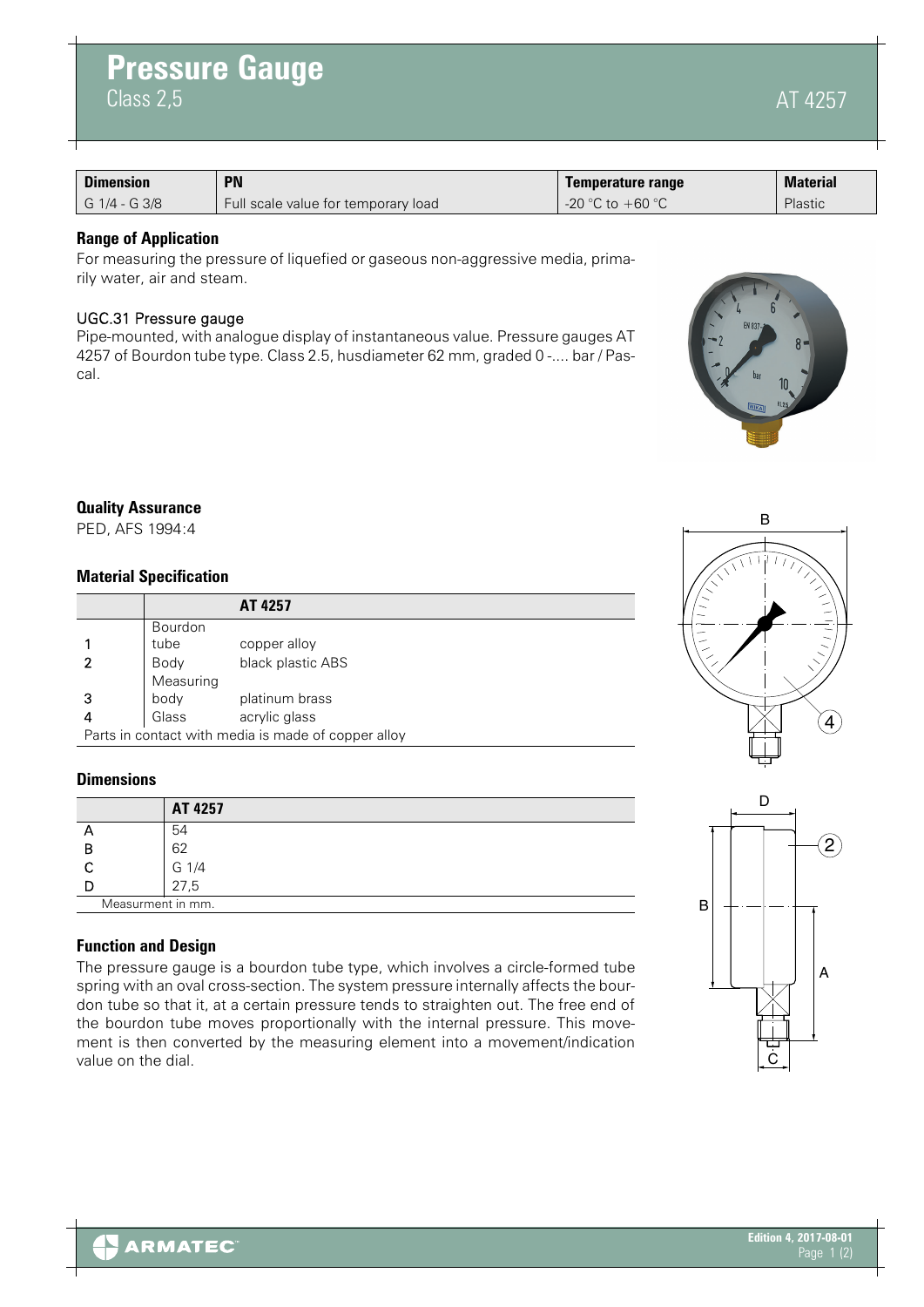|  |  | A |
|--|--|---|
|  |  |   |

4257

| <b>Dimension</b> | <b>PN</b>                           | Temperature range  | <b>Material</b> |
|------------------|-------------------------------------|--------------------|-----------------|
| G 1/4 - G 3/8    | Full scale value for temporary load | -20 °C to $+60$ °C | Plastic         |

# **Range of Application**

 $Class 2, 5$ 

**Pressure Gauge**

For measuring the pressure of liquefied or gaseous non-aggressive media, primarily water, air and steam.

# UGC.31 Pressure gauge

Pipe-mounted, with analogue display of instantaneous value. Pressure gauges AT 4257 of Bourdon tube type. Class 2.5, husdiameter 62 mm, graded 0 -.... bar / Pascal.

## **Quality Assurance**

PED, AFS 1994:4

## **Material Specification**

|   |           | AT 4257                                             |
|---|-----------|-----------------------------------------------------|
|   | Bourdon   |                                                     |
|   | tube      | copper alloy                                        |
|   | Body      | black plastic ABS                                   |
|   | Measuring |                                                     |
| 3 | body      | platinum brass                                      |
| 4 | Glass     | acrylic glass                                       |
|   |           | Parts in contact with media is made of copper alloy |

## **Dimensions**

|                   | AT 4257 |
|-------------------|---------|
| Ē                 | 54      |
| В                 | 62      |
|                   | G 1/4   |
|                   | 27,5    |
| Measurment in mm. |         |

# **Function and Design**

The pressure gauge is a bourdon tube type, which involves a circle-formed tube spring with an oval cross-section. The system pressure internally affects the bourdon tube so that it, at a certain pressure tends to straighten out. The free end of the bourdon tube moves proportionally with the internal pressure. This movement is then converted by the measuring element into a movement/indication value on the dial.